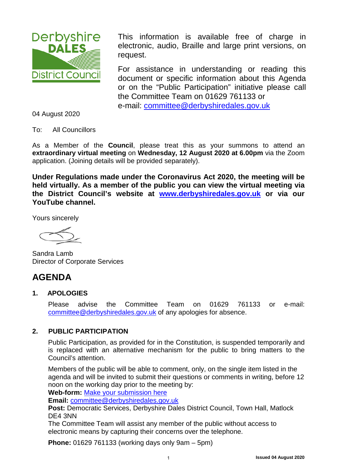<span id="page-0-0"></span>

This information is available free of charge in electronic, audio, Braille and large print versions, on request.

For assistance in understanding or reading this document or specific information about this Agenda or on the "Public Participation" initiative please call the Committee Team on 01629 761133 or e-mail: [committee@derbyshiredales.gov.uk](mailto:committee@derbyshiredales.gov.uk)

04 August 2020

To: All Councillors

As a Member of the **Council**, please treat this as your summons to attend an **extraordinary virtual meeting** on **Wednesday, 12 August 2020 at 6.00pm** via the Zoom application. (Joining details will be provided separately).

**Under Regulations made under the Coronavirus Act 2020, the meeting will be held virtually. As a member of the public you can view the virtual meeting via the District Council's website at [www.derbyshiredales.gov.uk](http://www.derbyshiredales.gov.uk/) or via our YouTube channel.**

Yours sincerely

Sandra Lamb Director of Corporate Services

# **AGENDA**

#### **1. APOLOGIES**

Please advise the Committee Team on 01629 761133 or e-mail: [committee@derbyshiredales.gov.uk](mailto:committee@derbyshiredales.gov.uk) of any apologies for absence.

#### **2. PUBLIC PARTICIPATION**

Public Participation, as provided for in the Constitution, is suspended temporarily and is replaced with an alternative mechanism for the public to bring matters to the Council's attention.

Members of the public will be able to comment, only, on the single item listed in the agenda and will be invited to submit their questions or comments in writing, before 12 noon on the working day prior to the meeting by:

**Web-form:** [Make your submission here](https://selfserve.derbyshiredales.gov.uk/renderform.aspx?t=44&k=FD9C9FA7E89B415C3D4899DDD5D88649E55277F1)

**Email:** [committee@derbyshiredales.gov.uk](mailto:committee@derbyshiredales.gov.uk)

**Post:** Democratic Services, Derbyshire Dales District Council, Town Hall, Matlock DE4 3NN

The Committee Team will assist any member of the public without access to electronic means by capturing their concerns over the telephone.

**Phone:** 01629 761133 (working days only 9am – 5pm)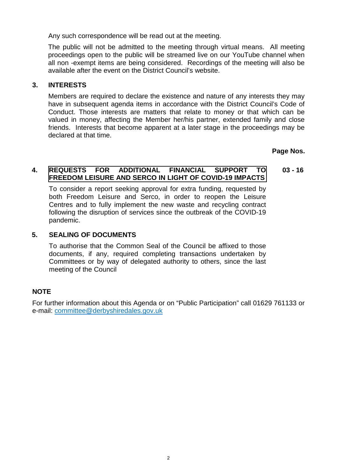Any such correspondence will be read out at the meeting.

The public will not be admitted to the meeting through virtual means. All meeting proceedings open to the public will be streamed live on our YouTube channel when all non -exempt items are being considered. Recordings of the meeting will also be available after the event on the District Council's website.

#### **3. INTERESTS**

Members are required to declare the existence and nature of any interests they may have in subsequent agenda items in accordance with the District Council's Code of Conduct. Those interests are matters that relate to money or that which can be valued in money, affecting the Member her/his partner, extended family and close friends. Interests that become apparent at a later stage in the proceedings may be declared at that time.

**Page Nos.**

#### **4. [REQUESTS FOR ADDITIONAL FINANCIAL SUPPORT TO](#page-2-0) FREEDOM LEISURE AND SERCO IN LIGHT OF COVID-19 IMPACTS 03 - 16**

To consider a report seeking approval for extra funding, requested by both Freedom Leisure and Serco, in order to reopen the Leisure Centres and to fully implement the new waste and recycling contract following the disruption of services since the outbreak of the COVID-19 pandemic.

#### **5. SEALING OF DOCUMENTS**

To authorise that the Common Seal of the Council be affixed to those documents, if any, required completing transactions undertaken by Committees or by way of delegated authority to others, since the last meeting of the Council

#### **NOTE**

For further information about this Agenda or on "Public Participation" call 01629 761133 or e-mail: [committee@derbyshiredales.gov.uk](mailto:committee@derbyshiredales.gov.uk)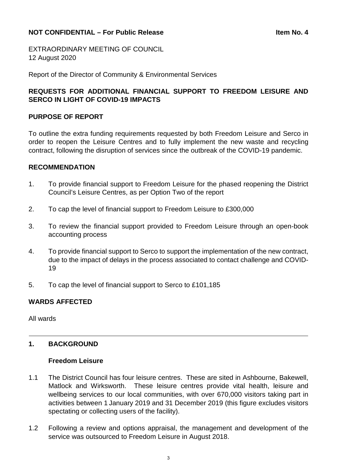#### <span id="page-2-0"></span>**NOT CONFIDENTIAL – For Public Release Itemation of the Item No. 4 <b>Item No. 4**

EXTRAORDINARY MEETING OF COUNCIL 12 August 2020

Report of the Director of Community & Environmental Services

#### **REQUESTS FOR ADDITIONAL FINANCIAL SUPPORT TO FREEDOM LEISURE AND SERCO IN LIGHT OF COVID-19 IMPACTS**

#### **PURPOSE OF REPORT**

To outline the extra funding requirements requested by both Freedom Leisure and Serco in order to reopen the Leisure Centres and to fully implement the new waste and recycling contract, following the disruption of services since the outbreak of the COVID-19 pandemic.

#### **RECOMMENDATION**

- 1. To provide financial support to Freedom Leisure for the phased reopening the District Council's Leisure Centres, as per Option Two of the report
- 2. To cap the level of financial support to Freedom Leisure to £300,000
- 3. To review the financial support provided to Freedom Leisure through an open-book accounting process
- 4. To provide financial support to Serco to support the implementation of the new contract, due to the impact of delays in the process associated to contact challenge and COVID-19
- 5. To cap the level of financial support to Serco to £101,185

#### **WARDS AFFECTED**

All wards

#### **1. BACKGROUND**

#### **Freedom Leisure**

- 1.1 The District Council has four leisure centres. These are sited in Ashbourne, Bakewell, Matlock and Wirksworth. These leisure centres provide vital health, leisure and wellbeing services to our local communities, with over 670,000 visitors taking part in activities between 1 January 2019 and 31 December 2019 (this figure excludes visitors spectating or collecting users of the facility).
- 1.2 Following a review and options appraisal, the management and development of the service was outsourced to Freedom Leisure in August 2018.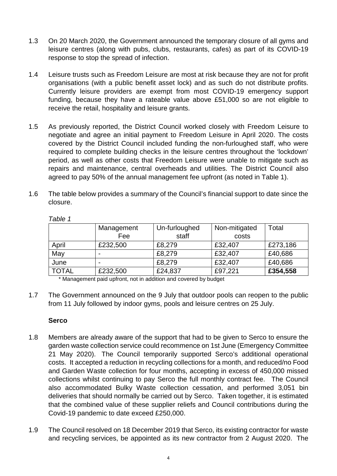- 1.3 On 20 March 2020, the Government announced the temporary closure of all gyms and leisure centres (along with pubs, clubs, restaurants, cafes) as part of its COVID-19 response to stop the spread of infection.
- 1.4 Leisure trusts such as Freedom Leisure are most at risk because they are not for profit organisations (with a public benefit asset lock) and as such do not distribute profits. Currently leisure providers are exempt from most COVID-19 emergency support funding, because they have a rateable value above £51,000 so are not eligible to receive the retail, hospitality and leisure grants.
- 1.5 As previously reported, the District Council worked closely with Freedom Leisure to negotiate and agree an initial payment to Freedom Leisure in April 2020. The costs covered by the District Council included funding the non-furloughed staff, who were required to complete building checks in the leisure centres throughout the 'lockdown' period, as well as other costs that Freedom Leisure were unable to mitigate such as repairs and maintenance, central overheads and utilities. The District Council also agreed to pay 50% of the annual management fee upfront (as noted in Table 1).
- 1.6 The table below provides a summary of the Council's financial support to date since the closure.

|              | Management               | Un-furloughed | Non-mitigated | Total    |
|--------------|--------------------------|---------------|---------------|----------|
|              | Fee                      | staff         | costs         |          |
| April        | £232,500                 | £8,279        | £32,407       | £273,186 |
| May          |                          | £8,279        | £32,407       | £40,686  |
| June         | $\overline{\phantom{0}}$ | £8,279        | £32,407       | £40,686  |
| <b>TOTAL</b> | £232,500                 | £24,837       | £97,221       | £354,558 |

*Table 1*

\* Management paid upfront, not in addition and covered by budget

1.7 The Government announced on the 9 July that outdoor pools can reopen to the public from 11 July followed by indoor gyms, pools and leisure centres on 25 July.

#### **Serco**

- 1.8 Members are already aware of the support that had to be given to Serco to ensure the garden waste collection service could recommence on 1st June (Emergency Committee 21 May 2020). The Council temporarily supported Serco's additional operational costs. It accepted a reduction in recycling collections for a month, and reduced/no Food and Garden Waste collection for four months, accepting in excess of 450,000 missed collections whilst continuing to pay Serco the full monthly contract fee. The Council also accommodated Bulky Waste collection cessation, and performed 3,051 bin deliveries that should normally be carried out by Serco. Taken together, it is estimated that the combined value of these supplier reliefs and Council contributions during the Covid-19 pandemic to date exceed £250,000.
- 1.9 The Council resolved on 18 December 2019 that Serco, its existing contractor for waste and recycling services, be appointed as its new contractor from 2 August 2020. The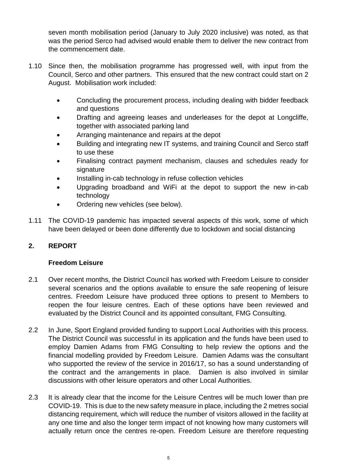seven month mobilisation period (January to July 2020 inclusive) was noted, as that was the period Serco had advised would enable them to deliver the new contract from the commencement date.

- 1.10 Since then, the mobilisation programme has progressed well, with input from the Council, Serco and other partners. This ensured that the new contract could start on 2 August. Mobilisation work included:
	- Concluding the procurement process, including dealing with bidder feedback and questions
	- Drafting and agreeing leases and underleases for the depot at Longcliffe, together with associated parking land
	- Arranging maintenance and repairs at the depot
	- Building and integrating new IT systems, and training Council and Serco staff to use these
	- Finalising contract payment mechanism, clauses and schedules ready for signature
	- Installing in-cab technology in refuse collection vehicles
	- Upgrading broadband and WiFi at the depot to support the new in-cab technology
	- Ordering new vehicles (see below).
- 1.11 The COVID-19 pandemic has impacted several aspects of this work, some of which have been delayed or been done differently due to lockdown and social distancing

## **2. REPORT**

#### **Freedom Leisure**

- 2.1 Over recent months, the District Council has worked with Freedom Leisure to consider several scenarios and the options available to ensure the safe reopening of leisure centres. Freedom Leisure have produced three options to present to Members to reopen the four leisure centres. Each of these options have been reviewed and evaluated by the District Council and its appointed consultant, FMG Consulting.
- 2.2 In June, Sport England provided funding to support Local Authorities with this process. The District Council was successful in its application and the funds have been used to employ Damien Adams from FMG Consulting to help review the options and the financial modelling provided by Freedom Leisure. Damien Adams was the consultant who supported the review of the service in 2016/17, so has a sound understanding of the contract and the arrangements in place. Damien is also involved in similar discussions with other leisure operators and other Local Authorities.
- 2.3 It is already clear that the income for the Leisure Centres will be much lower than pre COVID-19. This is due to the new safety measure in place, including the 2 metres social distancing requirement, which will reduce the number of visitors allowed in the facility at any one time and also the longer term impact of not knowing how many customers will actually return once the centres re-open. Freedom Leisure are therefore requesting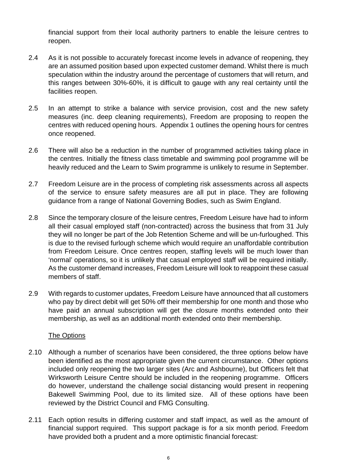financial support from their local authority partners to enable the leisure centres to reopen.

- 2.4 As it is not possible to accurately forecast income levels in advance of reopening, they are an assumed position based upon expected customer demand. Whilst there is much speculation within the industry around the percentage of customers that will return, and this ranges between 30%-60%, it is difficult to gauge with any real certainty until the facilities reopen.
- 2.5 In an attempt to strike a balance with service provision, cost and the new safety measures (inc. deep cleaning requirements), Freedom are proposing to reopen the centres with reduced opening hours. Appendix 1 outlines the opening hours for centres once reopened.
- 2.6 There will also be a reduction in the number of programmed activities taking place in the centres. Initially the fitness class timetable and swimming pool programme will be heavily reduced and the Learn to Swim programme is unlikely to resume in September.
- 2.7 Freedom Leisure are in the process of completing risk assessments across all aspects of the service to ensure safety measures are all put in place. They are following guidance from a range of National Governing Bodies, such as Swim England.
- 2.8 Since the temporary closure of the leisure centres, Freedom Leisure have had to inform all their casual employed staff (non-contracted) across the business that from 31 July they will no longer be part of the Job Retention Scheme and will be un-furloughed. This is due to the revised furlough scheme which would require an unaffordable contribution from Freedom Leisure. Once centres reopen, staffing levels will be much lower than 'normal' operations, so it is unlikely that casual employed staff will be required initially. As the customer demand increases, Freedom Leisure will look to reappoint these casual members of staff.
- 2.9 With regards to customer updates, Freedom Leisure have announced that all customers who pay by direct debit will get 50% off their membership for one month and those who have paid an annual subscription will get the closure months extended onto their membership, as well as an additional month extended onto their membership.

#### The Options

- 2.10 Although a number of scenarios have been considered, the three options below have been identified as the most appropriate given the current circumstance. Other options included only reopening the two larger sites (Arc and Ashbourne), but Officers felt that Wirksworth Leisure Centre should be included in the reopening programme. Officers do however, understand the challenge social distancing would present in reopening Bakewell Swimming Pool, due to its limited size. All of these options have been reviewed by the District Council and FMG Consulting.
- 2.11 Each option results in differing customer and staff impact, as well as the amount of financial support required. This support package is for a six month period. Freedom have provided both a prudent and a more optimistic financial forecast: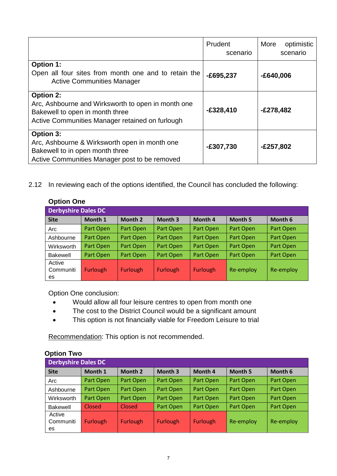|                                                                                                                                                              | Prudent<br>scenario | More<br>optimistic<br>scenario |
|--------------------------------------------------------------------------------------------------------------------------------------------------------------|---------------------|--------------------------------|
| <b>Option 1:</b><br>Open all four sites from month one and to retain the<br><b>Active Communities Manager</b>                                                | $-E695,237$         | $-£640,006$                    |
| <b>Option 2:</b><br>Arc, Ashbourne and Wirksworth to open in month one<br>Bakewell to open in month three<br>Active Communities Manager retained on furlough | $-£328,410$         | $-E278,482$                    |
| <b>Option 3:</b><br>Arc, Ashbourne & Wirksworth open in month one<br>Bakewell to in open month three<br>Active Communities Manager post to be removed        | $-£307,730$         | $-£257,802$                    |

2.12 In reviewing each of the options identified, the Council has concluded the following:

| <b>UPHULL</b> UILE         |                 |           |                 |                 |                |           |
|----------------------------|-----------------|-----------|-----------------|-----------------|----------------|-----------|
| <b>Derbyshire Dales DC</b> |                 |           |                 |                 |                |           |
| <b>Site</b>                | Month 1         | Month 2   | Month 3         | Month 4         | <b>Month 5</b> | Month 6   |
| Arc                        | Part Open       | Part Open | Part Open       | Part Open       | Part Open      | Part Open |
| Ashbourne                  | Part Open       | Part Open | Part Open       | Part Open       | Part Open      | Part Open |
| Wirksworth                 | Part Open       | Part Open | Part Open       | Part Open       | Part Open      | Part Open |
| <b>Bakewell</b>            | Part Open       | Part Open | Part Open       | Part Open       | Part Open      | Part Open |
| Active                     |                 |           |                 |                 |                |           |
| Communiti                  | <b>Furlough</b> | Furlough  | <b>Furlough</b> | <b>Furlough</b> | Re-employ      | Re-employ |
| es.                        |                 |           |                 |                 |                |           |

### **Option One**

Option One conclusion:

- Would allow all four leisure centres to open from month one
- The cost to the District Council would be a significant amount
- This option is not financially viable for Freedom Leisure to trial

Recommendation: This option is not recommended.

| <b>UPHULL LWO</b>          |                 |           |                 |           |           |           |
|----------------------------|-----------------|-----------|-----------------|-----------|-----------|-----------|
| <b>Derbyshire Dales DC</b> |                 |           |                 |           |           |           |
| <b>Site</b>                | Month 1         | Month 2   | Month 3         | Month 4   | Month 5   | Month 6   |
| Arc                        | Part Open       | Part Open | Part Open       | Part Open | Part Open | Part Open |
| Ashbourne                  | Part Open       | Part Open | Part Open       | Part Open | Part Open | Part Open |
| Wirksworth                 | Part Open       | Part Open | Part Open       | Part Open | Part Open | Part Open |
| Bakewell                   | Closed          | Closed    | Part Open       | Part Open | Part Open | Part Open |
| Active                     |                 |           |                 |           |           |           |
| Communiti                  | <b>Furlough</b> | Furlough  | <b>Furlough</b> | Furlough  | Re-employ | Re-employ |
| es                         |                 |           |                 |           |           |           |

#### **Option Two**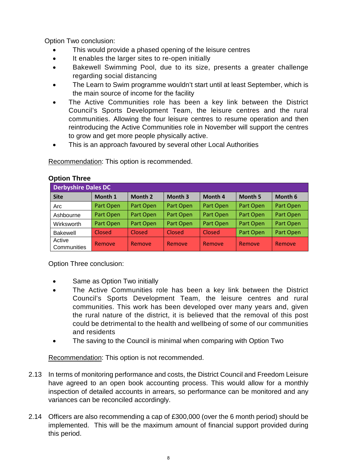Option Two conclusion:

- This would provide a phased opening of the leisure centres
- It enables the larger sites to re-open initially
- Bakewell Swimming Pool, due to its size, presents a greater challenge regarding social distancing
- The Learn to Swim programme wouldn't start until at least September, which is the main source of income for the facility
- The Active Communities role has been a key link between the District Council's Sports Development Team, the leisure centres and the rural communities. Allowing the four leisure centres to resume operation and then reintroducing the Active Communities role in November will support the centres to grow and get more people physically active.
- This is an approach favoured by several other Local Authorities

Recommendation: This option is recommended.

|                       | <b>Derbyshire Dales DC</b> |           |                    |           |                |           |  |  |  |  |  |  |  |  |  |
|-----------------------|----------------------------|-----------|--------------------|-----------|----------------|-----------|--|--|--|--|--|--|--|--|--|
| <b>Site</b>           | Month 1                    | Month 2   | Month <sub>3</sub> | Month 4   | <b>Month 5</b> | Month 6   |  |  |  |  |  |  |  |  |  |
| Arc                   | Part Open                  | Part Open | Part Open          | Part Open | Part Open      | Part Open |  |  |  |  |  |  |  |  |  |
| Ashbourne             | Part Open                  | Part Open | Part Open          | Part Open | Part Open      | Part Open |  |  |  |  |  |  |  |  |  |
| Wirksworth            | Part Open                  | Part Open | Part Open          | Part Open | Part Open      | Part Open |  |  |  |  |  |  |  |  |  |
| <b>Bakewell</b>       | Closed                     | Closed    | Closed             | Closed    | Part Open      | Part Open |  |  |  |  |  |  |  |  |  |
| Active<br>Communities | Remove                     | Remove    | Remove             | Remove    | Remove         | Remove    |  |  |  |  |  |  |  |  |  |

#### **Option Three**

Option Three conclusion:

- Same as Option Two initially
- The Active Communities role has been a key link between the District Council's Sports Development Team, the leisure centres and rural communities. This work has been developed over many years and, given the rural nature of the district, it is believed that the removal of this post could be detrimental to the health and wellbeing of some of our communities and residents
- The saving to the Council is minimal when comparing with Option Two

Recommendation: This option is not recommended.

- 2.13 In terms of monitoring performance and costs, the District Council and Freedom Leisure have agreed to an open book accounting process. This would allow for a monthly inspection of detailed accounts in arrears, so performance can be monitored and any variances can be reconciled accordingly.
- 2.14 Officers are also recommending a cap of £300,000 (over the 6 month period) should be implemented. This will be the maximum amount of financial support provided during this period.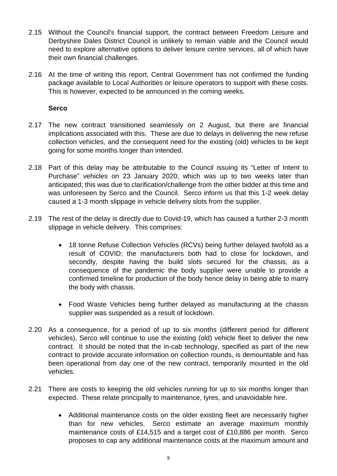- 2.15 Without the Council's financial support, the contract between Freedom Leisure and Derbyshire Dales District Council is unlikely to remain viable and the Council would need to explore alternative options to deliver leisure centre services, all of which have their own financial challenges.
- 2.16 At the time of writing this report, Central Government has not confirmed the funding package available to Local Authorities or leisure operators to support with these costs. This is however, expected to be announced in the coming weeks.

#### **Serco**

- 2.17 The new contract transitioned seamlessly on 2 August, but there are financial implications associated with this. These are due to delays in delivering the new refuse collection vehicles, and the consequent need for the existing (old) vehicles to be kept going for some months longer than intended.
- 2.18 Part of this delay may be attributable to the Council issuing its "Letter of Intent to Purchase" vehicles on 23 January 2020, which was up to two weeks later than anticipated; this was due to clarification/challenge from the other bidder at this time and was unforeseen by Serco and the Council. Serco inform us that this 1-2 week delay caused a 1-3 month slippage in vehicle delivery slots from the supplier.
- 2.19 The rest of the delay is directly due to Covid-19, which has caused a further 2-3 month slippage in vehicle delivery. This comprises:
	- 18 tonne Refuse Collection Vehicles (RCVs) being further delayed twofold as a result of COVID; the manufacturers both had to close for lockdown, and secondly, despite having the build slots secured for the chassis, as a consequence of the pandemic the body supplier were unable to provide a confirmed timeline for production of the body hence delay in being able to marry the body with chassis.
	- Food Waste Vehicles being further delayed as manufacturing at the chassis supplier was suspended as a result of lockdown.
- 2.20 As a consequence, for a period of up to six months (different period for different vehicles), Serco will continue to use the existing (old) vehicle fleet to deliver the new contract. It should be noted that the in-cab technology, specified as part of the new contract to provide accurate information on collection rounds, is demountable and has been operational from day one of the new contract, temporarily mounted in the old vehicles.
- 2.21 There are costs to keeping the old vehicles running for up to six months longer than expected. These relate principally to maintenance, tyres, and unavoidable hire.
	- Additional maintenance costs on the older existing fleet are necessarily higher than for new vehicles. Serco estimate an average maximum monthly maintenance costs of £14,515 and a target cost of £10,886 per month. Serco proposes to cap any additional maintenance costs at the maximum amount and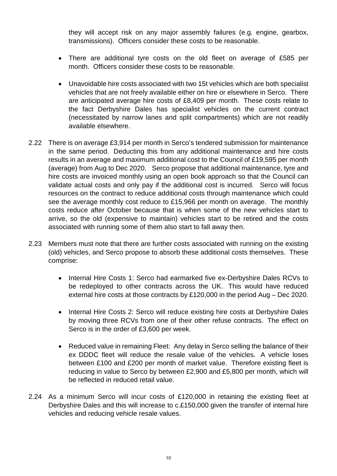they will accept risk on any major assembly failures (e.g. engine, gearbox, transmissions). Officers consider these costs to be reasonable.

- There are additional tyre costs on the old fleet on average of £585 per month. Officers consider these costs to be reasonable.
- Unavoidable hire costs associated with two 15t vehicles which are both specialist vehicles that are not freely available either on hire or elsewhere in Serco. There are anticipated average hire costs of £8,409 per month. These costs relate to the fact Derbyshire Dales has specialist vehicles on the current contract (necessitated by narrow lanes and split compartments) which are not readily available elsewhere.
- 2.22 There is on average £3,914 per month in Serco's tendered submission for maintenance in the same period. Deducting this from any additional maintenance and hire costs results in an average and maximum additional cost to the Council of £19,595 per month (average) from Aug to Dec 2020. Serco propose that additional maintenance, tyre and hire costs are invoiced monthly using an open book approach so that the Council can validate actual costs and only pay if the additional cost is incurred. Serco will focus resources on the contract to reduce additional costs through maintenance which could see the average monthly cost reduce to £15,966 per month on average. The monthly costs reduce after October because that is when some of the new vehicles start to arrive, so the old (expensive to maintain) vehicles start to be retired and the costs associated with running some of them also start to fall away then.
- 2.23 Members must note that there are further costs associated with running on the existing (old) vehicles, and Serco propose to absorb these additional costs themselves. These comprise:
	- Internal Hire Costs 1: Serco had earmarked five ex-Derbyshire Dales RCVs to be redeployed to other contracts across the UK. This would have reduced external hire costs at those contracts by £120,000 in the period Aug – Dec 2020.
	- Internal Hire Costs 2: Serco will reduce existing hire costs at Derbyshire Dales by moving three RCVs from one of their other refuse contracts. The effect on Serco is in the order of £3,600 per week.
	- Reduced value in remaining Fleet: Any delay in Serco selling the balance of their ex DDDC fleet will reduce the resale value of the vehicles. A vehicle loses between £100 and £200 per month of market value. Therefore existing fleet is reducing in value to Serco by between £2,900 and £5,800 per month, which will be reflected in reduced retail value.
- 2.24 As a minimum Serco will incur costs of £120,000 in retaining the existing fleet at Derbyshire Dales and this will increase to c.£150,000 given the transfer of internal hire vehicles and reducing vehicle resale values.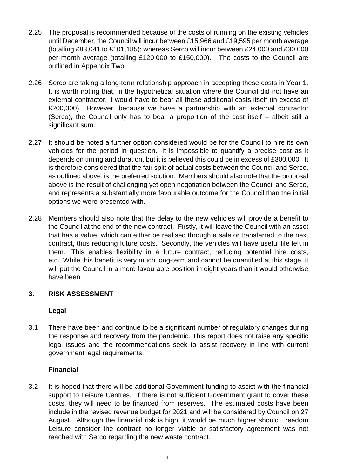- 2.25 The proposal is recommended because of the costs of running on the existing vehicles until December, the Council will incur between £15,966 and £19,595 per month average (totalling £83,041 to £101,185); whereas Serco will incur between £24,000 and £30,000 per month average (totalling £120,000 to £150,000). The costs to the Council are outlined in Appendix Two.
- 2.26 Serco are taking a long-term relationship approach in accepting these costs in Year 1. It is worth noting that, in the hypothetical situation where the Council did not have an external contractor, it would have to bear all these additional costs itself (in excess of £200,000). However, because we have a partnership with an external contractor (Serco), the Council only has to bear a proportion of the cost itself – albeit still a significant sum.
- 2.27 It should be noted a further option considered would be for the Council to hire its own vehicles for the period in question. It is impossible to quantify a precise cost as it depends on timing and duration, but it is believed this could be in excess of £300,000. It is therefore considered that the fair split of actual costs between the Council and Serco, as outlined above, is the preferred solution. Members should also note that the proposal above is the result of challenging yet open negotiation between the Council and Serco, and represents a substantially more favourable outcome for the Council than the initial options we were presented with.
- 2.28 Members should also note that the delay to the new vehicles will provide a benefit to the Council at the end of the new contract. Firstly, it will leave the Council with an asset that has a value, which can either be realised through a sale or transferred to the next contract, thus reducing future costs. Secondly, the vehicles will have useful life left in them. This enables flexibility in a future contract, reducing potential hire costs, etc. While this benefit is very much long-term and cannot be quantified at this stage, it will put the Council in a more favourable position in eight years than it would otherwise have been.

#### **3. RISK ASSESSMENT**

#### **Legal**

3.1 There have been and continue to be a significant number of regulatory changes during the response and recovery from the pandemic. This report does not raise any specific legal issues and the recommendations seek to assist recovery in line with current government legal requirements.

#### **Financial**

3.2 It is hoped that there will be additional Government funding to assist with the financial support to Leisure Centres. If there is not sufficient Government grant to cover these costs, they will need to be financed from reserves. The estimated costs have been include in the revised revenue budget for 2021 and will be considered by Council on 27 August. Although the financial risk is high, it would be much higher should Freedom Leisure consider the contract no longer viable or satisfactory agreement was not reached with Serco regarding the new waste contract.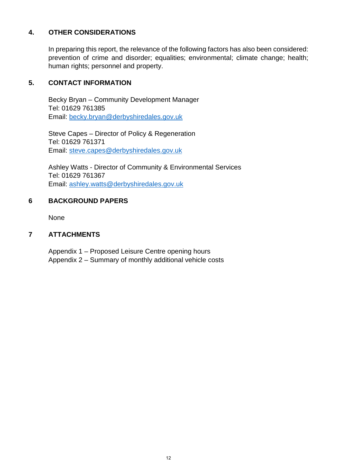#### **4. OTHER CONSIDERATIONS**

In preparing this report, the relevance of the following factors has also been considered: prevention of crime and disorder; equalities; environmental; climate change; health; human rights; personnel and property.

#### **5. CONTACT INFORMATION**

Becky Bryan – Community Development Manager Tel: 01629 761385 Email: [becky.bryan@derbyshiredales.gov.uk](mailto:becky.bryan@derbyshiredales.gov.uk)

Steve Capes – Director of Policy & Regeneration Tel: 01629 761371 Email: [steve.capes@derbyshiredales.gov.uk](mailto:steve.capes@derbyshiredales.gov.uk)

Ashley Watts - Director of Community & Environmental Services Tel: 01629 761367 Email: [ashley.watts@derbyshiredales.gov.uk](mailto:Ashley.watts@derbyshiredales.gov.uk)

### **6 BACKGROUND PAPERS**

None

### **7 ATTACHMENTS**

Appendix 1 – Proposed Leisure Centre opening hours Appendix 2 – Summary of monthly additional vehicle costs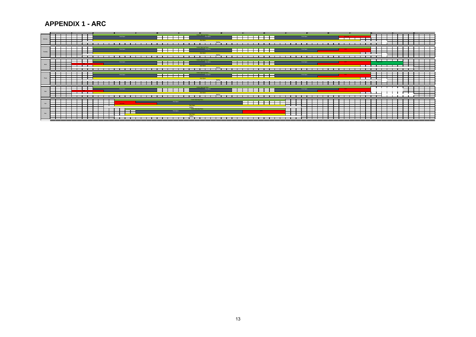**APPENDIX 1 - ARC**

**Monday**

|        |                          |                                                                                 |                                                |                               |                                            |                                            |                                |            |  |  |                               |           |                                                                                                                 |                                                                                                                                                                                                                                                                     | __                    | Stating  |      |                                   |                   |  |                                 |           |  |                                          |  |                                        |            |                          |                            |                                                              |      |                         |
|--------|--------------------------|---------------------------------------------------------------------------------|------------------------------------------------|-------------------------------|--------------------------------------------|--------------------------------------------|--------------------------------|------------|--|--|-------------------------------|-----------|-----------------------------------------------------------------------------------------------------------------|---------------------------------------------------------------------------------------------------------------------------------------------------------------------------------------------------------------------------------------------------------------------|-----------------------|----------|------|-----------------------------------|-------------------|--|---------------------------------|-----------|--|------------------------------------------|--|----------------------------------------|------------|--------------------------|----------------------------|--------------------------------------------------------------|------|-------------------------|
| Wed    |                          |                                                                                 |                                                |                               |                                            |                                            |                                | Pool Open  |  |  | —                             |           | a basic and the contract of the contract of the contract of the contract of the contract of the contract of the | Centre Opening Times                                                                                                                                                                                                                                                | Pool Open             |          | --   |                                   | <b>The Common</b> |  |                                 | Pool Open |  |                                          |  |                                        | Water Polo |                          | and the state of the state | and the state of the state of the<br>and the property of the |      |                         |
|        |                          |                                                                                 |                                                | the control of the con-       |                                            |                                            |                                |            |  |  |                               |           |                                                                                                                 |                                                                                                                                                                                                                                                                     |                       | Station  |      |                                   |                   |  |                                 |           |  |                                          |  |                                        |            |                          |                            |                                                              |      |                         |
| Thurs. |                          | the contract of the contract of the contract of<br>and the contract of the con- |                                                | __                            | and the contract of the con-<br>_____      |                                            |                                | Pool Open  |  |  |                               |           |                                                                                                                 | <b>Centre Opening Times</b><br><b>Contract Contract Contract Contract Contract Contract Contract Contract Contract Contract Contract Contract Contract Contract Contract Contract Contract Contract Contract Contract Contract Contract Contract Contract Contr</b> | Pool Open             |          | ——⊥  |                                   |                   |  |                                 | Pool Open |  | <b>CALL OF</b><br><b>Service Service</b> |  | $\sim$<br>—<br>and the property of the |            |                          |                            |                                                              | ———— |                         |
|        |                          |                                                                                 |                                                | ____                          | and the state of the state of the          |                                            |                                |            |  |  |                               |           |                                                                                                                 |                                                                                                                                                                                                                                                                     |                       | Statfing | ____ |                                   |                   |  |                                 |           |  |                                          |  | $\sim$                                 |            | <b>Contract Contract</b> |                            | <b>Contract Contract</b>                                     |      | and the contract of     |
| Frid   |                          |                                                                                 | $\mathbf{I}$ and $\mathbf{I}$ and $\mathbf{I}$ |                               | <b>Contract Contract Contract Contract</b> |                                            |                                | Pool Open  |  |  | <b>Contract Contract</b><br>— |           |                                                                                                                 | Centre Opening Times                                                                                                                                                                                                                                                | Pool Open<br>Gym Open | Stating  | __   | and the state of the state of the |                   |  |                                 | Pool Open |  | <b>LAAD</b>                              |  |                                        |            |                          |                            |                                                              |      |                         |
|        |                          |                                                                                 |                                                |                               |                                            |                                            |                                |            |  |  |                               |           |                                                                                                                 |                                                                                                                                                                                                                                                                     |                       |          |      |                                   |                   |  |                                 |           |  |                                          |  |                                        |            |                          |                            |                                                              |      |                         |
| Sat    |                          |                                                                                 |                                                |                               |                                            |                                            | J.<br><b>Contract Contract</b> | Deventio - |  |  |                               | Pool Open | <b>Cym Open</b>                                                                                                 | Centre Opening Times                                                                                                                                                                                                                                                |                       |          |      |                                   |                   |  |                                 |           |  |                                          |  |                                        |            |                          |                            |                                                              |      |                         |
| Sun    |                          |                                                                                 |                                                |                               |                                            |                                            |                                |            |  |  |                               | Pool Open |                                                                                                                 | Stating<br>Centre Opening Times                                                                                                                                                                                                                                     |                       |          |      |                                   | <b>COMMON</b>     |  |                                 | __        |  |                                          |  |                                        |            |                          |                            |                                                              |      |                         |
|        | the contract of the con- |                                                                                 |                                                | the control of the control of |                                            | and the state of the state of the state of |                                |            |  |  |                               |           | Gym Coan<br>Staffing                                                                                            |                                                                                                                                                                                                                                                                     |                       |          |      |                                   |                   |  | the contract of the contract of |           |  |                                          |  | $\sim$                                 |            |                          |                            |                                                              |      | the control of the con- |

**Pool Open Pool Open** Pool Open Pool Open Pool Open Pool Open Pool Open Pool Open Pool Open Pool Open Pool Open Pool Open Pool Open Pool Open Pool Open Pool Open Pool Open Pool Open Pool Open Pool Open

9 10 11 12 13 14 15 16 17 18 19 22

 $20$   $21$ 

<u> 1950 - 1950 - 1950 - 1950 - 1950 - 1950 - 1950 - 1950 - 1950 - 1950 - 1950 - 1950 - 1950 - 1950 - 1950 - 195</u>

**Centre Opening Times**

**Gym Open Staffing**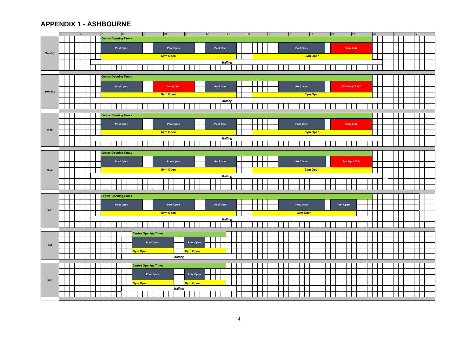#### **APPENDIX 1 - ASHBOURNE**

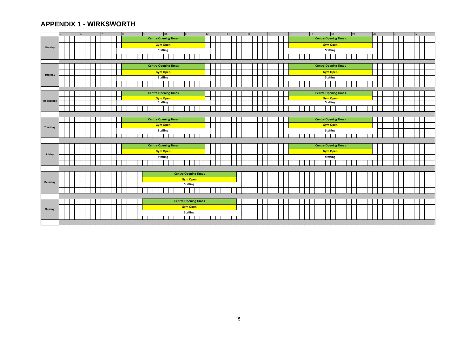#### **APPENDIX 1 - WIRKSWORTH**

|           |  |  |  |  |  |  | $\vert$ 9 |                             |                 | 10              | 11                          |                 |  | 12 |  | 13 |  | 14 |  | 15 |  | 16 |  | 17 |  |                 | 18                          | 19 |  | 20 |  | 21 |  | 22 |  |
|-----------|--|--|--|--|--|--|-----------|-----------------------------|-----------------|-----------------|-----------------------------|-----------------|--|----|--|----|--|----|--|----|--|----|--|----|--|-----------------|-----------------------------|----|--|----|--|----|--|----|--|
|           |  |  |  |  |  |  |           | <b>Centre Opening Times</b> |                 |                 |                             |                 |  |    |  |    |  |    |  |    |  |    |  |    |  |                 | <b>Centre Opening Times</b> |    |  |    |  |    |  |    |  |
|           |  |  |  |  |  |  |           |                             |                 | <b>Gym Open</b> |                             |                 |  |    |  |    |  |    |  |    |  |    |  |    |  |                 | <b>Gym Open</b>             |    |  |    |  |    |  |    |  |
| Monday    |  |  |  |  |  |  |           |                             | <b>Staffing</b> |                 |                             |                 |  |    |  |    |  |    |  |    |  |    |  |    |  | <b>Staffing</b> |                             |    |  |    |  |    |  |    |  |
|           |  |  |  |  |  |  |           |                             |                 |                 |                             |                 |  |    |  |    |  |    |  |    |  |    |  |    |  |                 |                             |    |  |    |  |    |  |    |  |
|           |  |  |  |  |  |  |           |                             |                 |                 |                             |                 |  |    |  |    |  |    |  |    |  |    |  |    |  |                 |                             |    |  |    |  |    |  |    |  |
|           |  |  |  |  |  |  |           | <b>Centre Opening Times</b> |                 |                 |                             |                 |  |    |  |    |  |    |  |    |  |    |  |    |  |                 | <b>Centre Opening Times</b> |    |  |    |  |    |  |    |  |
|           |  |  |  |  |  |  |           |                             |                 | <b>Gym Open</b> |                             |                 |  |    |  |    |  |    |  |    |  |    |  |    |  |                 | <b>Gym Open</b>             |    |  |    |  |    |  |    |  |
| Tuesday   |  |  |  |  |  |  |           |                             | <b>Staffing</b> |                 |                             |                 |  |    |  |    |  |    |  |    |  |    |  |    |  | <b>Staffing</b> |                             |    |  |    |  |    |  |    |  |
|           |  |  |  |  |  |  |           |                             |                 |                 |                             |                 |  |    |  |    |  |    |  |    |  |    |  |    |  |                 |                             |    |  |    |  |    |  |    |  |
|           |  |  |  |  |  |  |           |                             |                 |                 |                             |                 |  |    |  |    |  |    |  |    |  |    |  |    |  |                 |                             |    |  |    |  |    |  |    |  |
|           |  |  |  |  |  |  |           | <b>Centre Opening Times</b> |                 |                 |                             |                 |  |    |  |    |  |    |  |    |  |    |  |    |  |                 | <b>Centre Opening Times</b> |    |  |    |  |    |  |    |  |
| Wednesday |  |  |  |  |  |  |           |                             |                 | <b>Gym Open</b> |                             |                 |  |    |  |    |  |    |  |    |  |    |  |    |  |                 | <b>Gym Open</b>             |    |  |    |  |    |  |    |  |
|           |  |  |  |  |  |  |           |                             | <b>Staffing</b> |                 |                             |                 |  |    |  |    |  |    |  |    |  |    |  |    |  | <b>Staffing</b> |                             |    |  |    |  |    |  |    |  |
|           |  |  |  |  |  |  |           |                             |                 |                 |                             |                 |  |    |  |    |  |    |  |    |  |    |  |    |  |                 |                             |    |  |    |  |    |  |    |  |
|           |  |  |  |  |  |  |           |                             |                 |                 |                             |                 |  |    |  |    |  |    |  |    |  |    |  |    |  |                 |                             |    |  |    |  |    |  |    |  |
|           |  |  |  |  |  |  |           | <b>Centre Opening Times</b> |                 |                 |                             |                 |  |    |  |    |  |    |  |    |  |    |  |    |  |                 | <b>Centre Opening Times</b> |    |  |    |  |    |  |    |  |
| Thursday  |  |  |  |  |  |  |           |                             |                 | <b>Gym Open</b> |                             |                 |  |    |  |    |  |    |  |    |  |    |  |    |  |                 | <b>Gym Open</b>             |    |  |    |  |    |  |    |  |
|           |  |  |  |  |  |  |           |                             | <b>Staffing</b> |                 |                             |                 |  |    |  |    |  |    |  |    |  |    |  |    |  | <b>Staffing</b> |                             |    |  |    |  |    |  |    |  |
|           |  |  |  |  |  |  |           |                             |                 |                 |                             |                 |  |    |  |    |  |    |  |    |  |    |  |    |  |                 |                             |    |  |    |  |    |  |    |  |
|           |  |  |  |  |  |  |           |                             |                 |                 |                             |                 |  |    |  |    |  |    |  |    |  |    |  |    |  |                 |                             |    |  |    |  |    |  |    |  |
|           |  |  |  |  |  |  |           | <b>Centre Opening Times</b> |                 |                 |                             |                 |  |    |  |    |  |    |  |    |  |    |  |    |  |                 | <b>Centre Opening Times</b> |    |  |    |  |    |  |    |  |
|           |  |  |  |  |  |  |           |                             |                 | <b>Gym Open</b> |                             |                 |  |    |  |    |  |    |  |    |  |    |  |    |  |                 | <b>Gym Open</b>             |    |  |    |  |    |  |    |  |
| Friday    |  |  |  |  |  |  |           |                             | <b>Staffing</b> |                 |                             |                 |  |    |  |    |  |    |  |    |  |    |  |    |  | <b>Staffing</b> |                             |    |  |    |  |    |  |    |  |
|           |  |  |  |  |  |  |           |                             |                 |                 |                             |                 |  |    |  |    |  |    |  |    |  |    |  |    |  |                 |                             |    |  |    |  |    |  |    |  |
|           |  |  |  |  |  |  |           |                             |                 |                 |                             |                 |  |    |  |    |  |    |  |    |  |    |  |    |  |                 |                             |    |  |    |  |    |  |    |  |
|           |  |  |  |  |  |  |           |                             |                 |                 | <b>Centre Opening Times</b> |                 |  |    |  |    |  |    |  |    |  |    |  |    |  |                 |                             |    |  |    |  |    |  |    |  |
|           |  |  |  |  |  |  |           |                             |                 |                 | <b>Gym Open</b>             |                 |  |    |  |    |  |    |  |    |  |    |  |    |  |                 |                             |    |  |    |  |    |  |    |  |
| Saturday  |  |  |  |  |  |  |           |                             |                 |                 |                             | <b>Staffing</b> |  |    |  |    |  |    |  |    |  |    |  |    |  |                 |                             |    |  |    |  |    |  |    |  |
|           |  |  |  |  |  |  |           |                             |                 |                 |                             |                 |  |    |  |    |  |    |  |    |  |    |  |    |  |                 |                             |    |  |    |  |    |  |    |  |
|           |  |  |  |  |  |  |           |                             |                 |                 |                             |                 |  |    |  |    |  |    |  |    |  |    |  |    |  |                 |                             |    |  |    |  |    |  |    |  |
|           |  |  |  |  |  |  |           |                             |                 |                 | <b>Centre Opening Times</b> |                 |  |    |  |    |  |    |  |    |  |    |  |    |  |                 |                             |    |  |    |  |    |  |    |  |
|           |  |  |  |  |  |  |           |                             |                 |                 |                             | <b>Gym Open</b> |  |    |  |    |  |    |  |    |  |    |  |    |  |                 |                             |    |  |    |  |    |  |    |  |
| Sunday    |  |  |  |  |  |  |           |                             |                 |                 |                             | <b>Staffing</b> |  |    |  |    |  |    |  |    |  |    |  |    |  |                 |                             |    |  |    |  |    |  |    |  |
|           |  |  |  |  |  |  |           |                             |                 |                 |                             |                 |  |    |  |    |  |    |  |    |  |    |  |    |  |                 |                             |    |  |    |  |    |  |    |  |
|           |  |  |  |  |  |  |           |                             |                 |                 |                             |                 |  |    |  |    |  |    |  |    |  |    |  |    |  |                 |                             |    |  |    |  |    |  |    |  |
|           |  |  |  |  |  |  |           |                             |                 |                 |                             |                 |  |    |  |    |  |    |  |    |  |    |  |    |  |                 |                             |    |  |    |  |    |  |    |  |